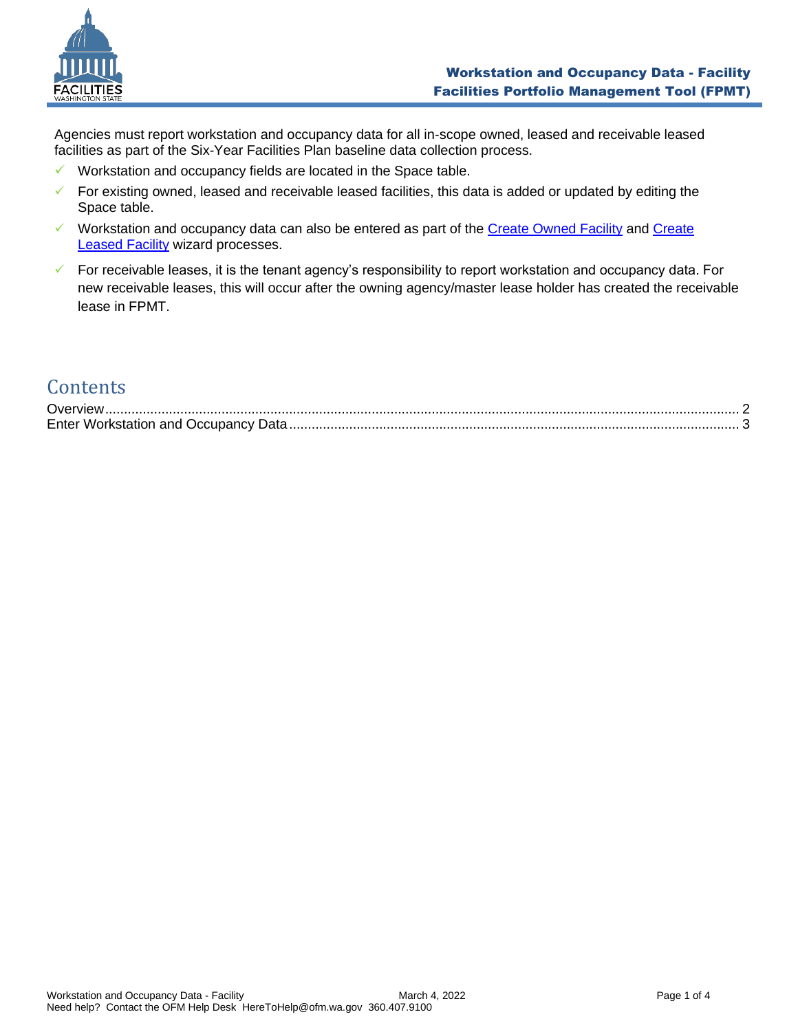

Agencies must report workstation and occupancy data for all in-scope owned, leased and receivable leased facilities as part of the Six-Year Facilities Plan baseline data collection process.

- ✓ Workstation and occupancy fields are located in the Space table.
- $\checkmark$  For existing owned, leased and receivable leased facilities, this data is added or updated by editing the Space table.
- ✓ Workstation and occupancy data can also be entered as part of the [Create Owned Facility](https://ofm.wa.gov/sites/default/files/public/itsystems/FPMT/Create%20Owned%20Facility.pdf) and [Create](https://ofm.wa.gov/sites/default/files/public/itsystems/FPMT/Create%20Leased%20Facility.pdf)  [Leased Facility](https://ofm.wa.gov/sites/default/files/public/itsystems/FPMT/Create%20Leased%20Facility.pdf) wizard processes.
- ✓ For receivable leases, it is the tenant agency's responsibility to report workstation and occupancy data. For new receivable leases, this will occur after the owning agency/master lease holder has created the receivable lease in FPMT.

## **Contents**

| Overview)                                   |  |
|---------------------------------------------|--|
| <b>Enter Workstation and Occupancy Data</b> |  |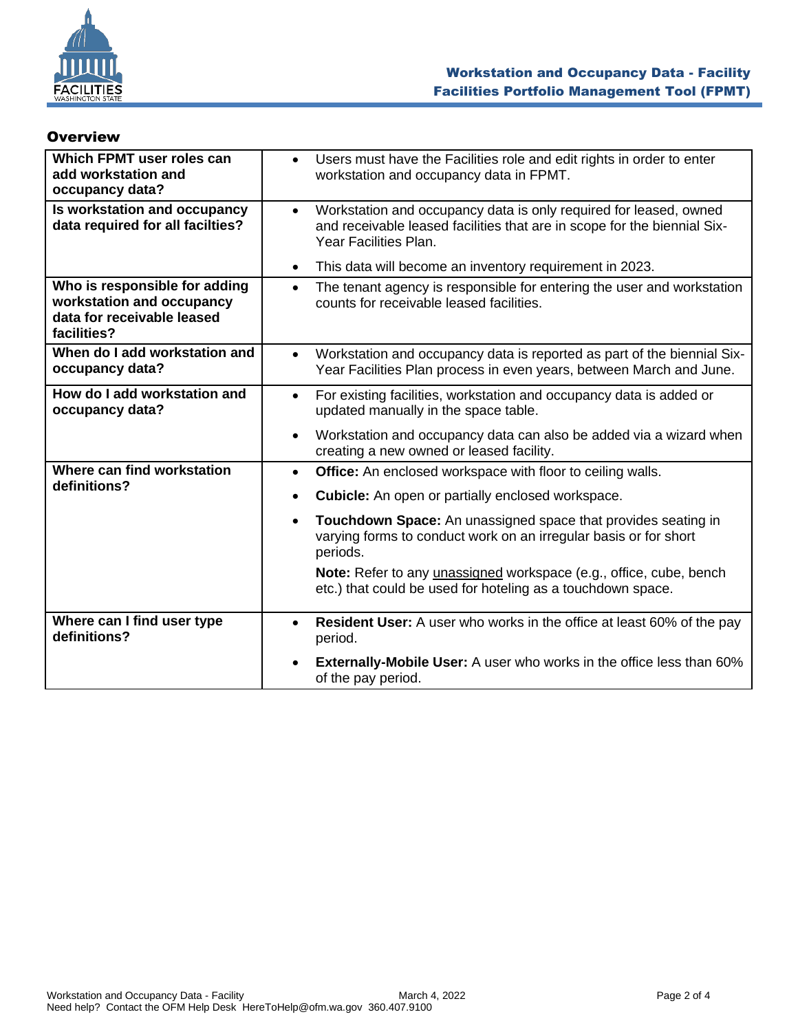

| Which FPMT user roles can<br>add workstation and<br>occupancy data?                                     | Users must have the Facilities role and edit rights in order to enter<br>$\bullet$<br>workstation and occupancy data in FPMT.                                                       |
|---------------------------------------------------------------------------------------------------------|-------------------------------------------------------------------------------------------------------------------------------------------------------------------------------------|
| Is workstation and occupancy<br>data required for all facilties?                                        | Workstation and occupancy data is only required for leased, owned<br>$\bullet$<br>and receivable leased facilities that are in scope for the biennial Six-<br>Year Facilities Plan. |
|                                                                                                         | This data will become an inventory requirement in 2023.<br>$\bullet$                                                                                                                |
| Who is responsible for adding<br>workstation and occupancy<br>data for receivable leased<br>facilities? | The tenant agency is responsible for entering the user and workstation<br>$\bullet$<br>counts for receivable leased facilities.                                                     |
| When do I add workstation and<br>occupancy data?                                                        | Workstation and occupancy data is reported as part of the biennial Six-<br>$\bullet$<br>Year Facilities Plan process in even years, between March and June.                         |
| How do I add workstation and<br>occupancy data?                                                         | For existing facilities, workstation and occupancy data is added or<br>$\bullet$<br>updated manually in the space table.                                                            |
|                                                                                                         | Workstation and occupancy data can also be added via a wizard when<br>$\bullet$<br>creating a new owned or leased facility.                                                         |
| Where can find workstation                                                                              | Office: An enclosed workspace with floor to ceiling walls.<br>$\bullet$                                                                                                             |
| definitions?                                                                                            | <b>Cubicle:</b> An open or partially enclosed workspace.<br>$\bullet$                                                                                                               |
|                                                                                                         | Touchdown Space: An unassigned space that provides seating in<br>$\bullet$<br>varying forms to conduct work on an irregular basis or for short<br>periods.                          |
|                                                                                                         | Note: Refer to any unassigned workspace (e.g., office, cube, bench<br>etc.) that could be used for hoteling as a touchdown space.                                                   |
| Where can I find user type<br>definitions?                                                              | <b>Resident User:</b> A user who works in the office at least 60% of the pay<br>$\bullet$<br>period.                                                                                |
|                                                                                                         | Externally-Mobile User: A user who works in the office less than 60%<br>of the pay period.                                                                                          |

## <span id="page-1-0"></span>**Overview**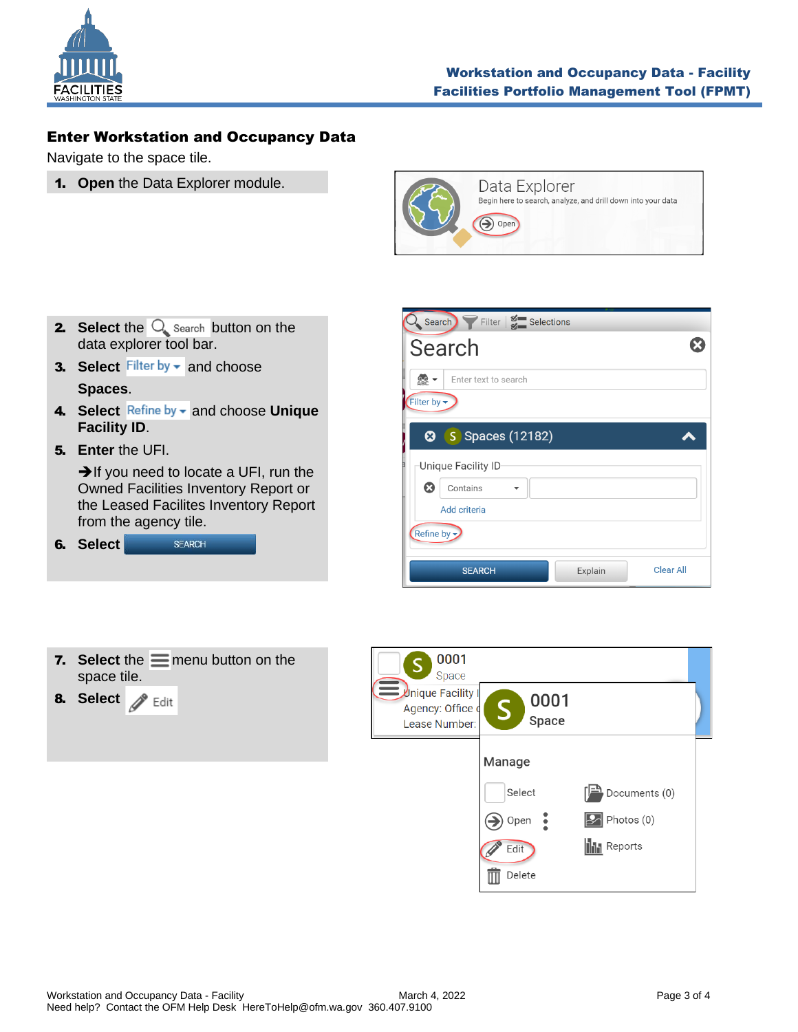

## <span id="page-2-0"></span>Enter Workstation and Occupancy Data

Navigate to the space tile.

1. **Open** the Data Explorer module.



- **2.** Select the  $\bigcirc$  search button on the data explorer tool bar.
- **3. Select** Filter by  $\bullet$  and choose **Spaces**.
- 4. Select Refine by and choose Unique **Facility ID**.
- 5. **Enter** the UFI.

➔If you need to locate a UFI, run the Owned Facilities Inventory Report or the Leased Facilites Inventory Report from the agency tile.

| 6. Select | <b>SFARCH</b> |
|-----------|---------------|
|           |               |

| Search Filter   Selections                                |                  |
|-----------------------------------------------------------|------------------|
| Search                                                    |                  |
| $rac{1}{\triangle$<br>Enter text to search<br>Filter by - |                  |
| <b>3</b> Spaces (12182)                                   |                  |
| Unique Facility ID                                        |                  |
| $\bm{\Omega}$<br>Contains                                 |                  |
| Add criteria                                              |                  |
| Refine by -                                               |                  |
| <b>SEARCH</b><br>Explain                                  | <b>Clear All</b> |



8. Select **&** Edit